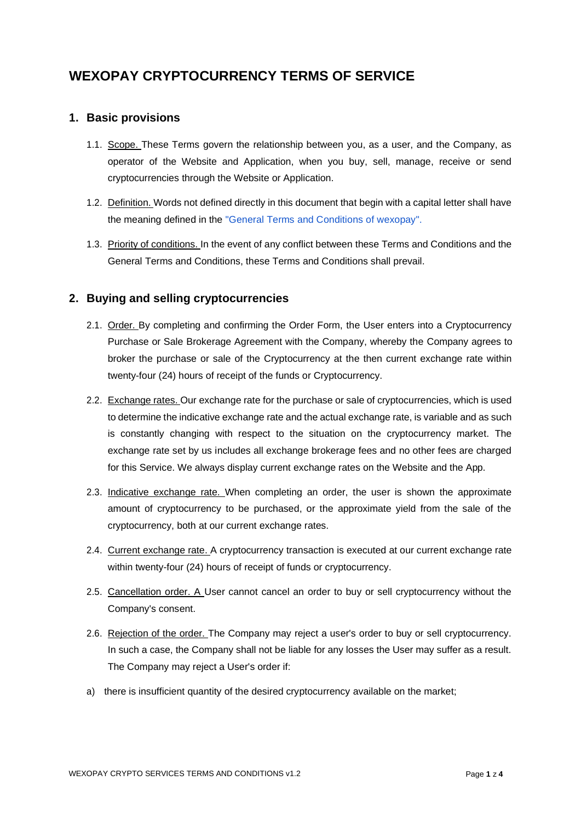# **WEXOPAY CRYPTOCURRENCY TERMS OF SERVICE**

## **1. Basic provisions**

- 1.1. Scope. These Terms govern the relationship between you, as a user, and the Company, as operator of the Website and Application, when you buy, sell, manage, receive or send cryptocurrencies through the Website or Application.
- 1.2. Definition. Words not defined directly in this document that begin with a capital letter shall have the meaning defined in the "General Terms and Conditions of wexopay".
- 1.3. Priority of conditions. In the event of any conflict between these Terms and Conditions and the General Terms and Conditions, these Terms and Conditions shall prevail.

# **2. Buying and selling cryptocurrencies**

- 2.1. Order. By completing and confirming the Order Form, the User enters into a Cryptocurrency Purchase or Sale Brokerage Agreement with the Company, whereby the Company agrees to broker the purchase or sale of the Cryptocurrency at the then current exchange rate within twenty-four (24) hours of receipt of the funds or Cryptocurrency.
- 2.2. Exchange rates. Our exchange rate for the purchase or sale of cryptocurrencies, which is used to determine the indicative exchange rate and the actual exchange rate, is variable and as such is constantly changing with respect to the situation on the cryptocurrency market. The exchange rate set by us includes all exchange brokerage fees and no other fees are charged for this Service. We always display current exchange rates on the Website and the App.
- 2.3. Indicative exchange rate. When completing an order, the user is shown the approximate amount of cryptocurrency to be purchased, or the approximate yield from the sale of the cryptocurrency, both at our current exchange rates.
- 2.4. Current exchange rate. A cryptocurrency transaction is executed at our current exchange rate within twenty-four (24) hours of receipt of funds or cryptocurrency.
- 2.5. Cancellation order. A User cannot cancel an order to buy or sell cryptocurrency without the Company's consent.
- 2.6. Rejection of the order. The Company may reject a user's order to buy or sell cryptocurrency. In such a case, the Company shall not be liable for any losses the User may suffer as a result. The Company may reject a User's order if:
- a) there is insufficient quantity of the desired cryptocurrency available on the market;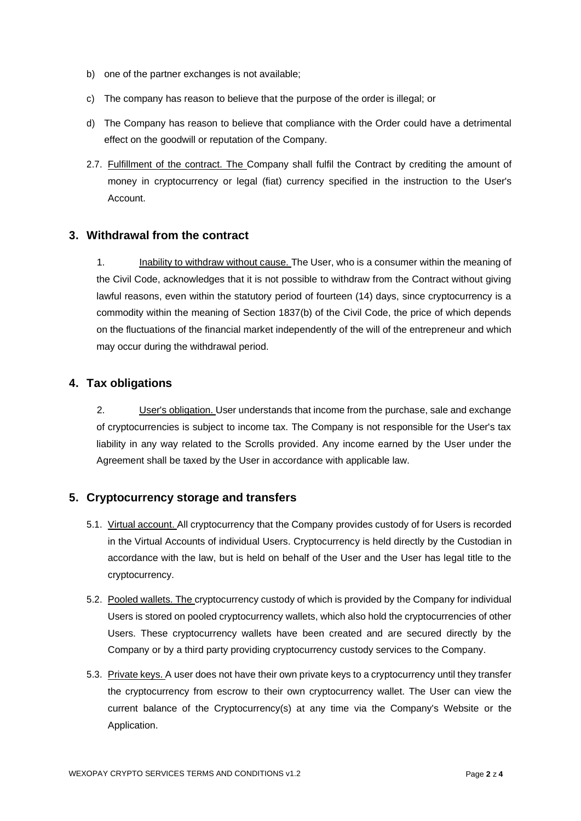- b) one of the partner exchanges is not available;
- c) The company has reason to believe that the purpose of the order is illegal; or
- d) The Company has reason to believe that compliance with the Order could have a detrimental effect on the goodwill or reputation of the Company.
- 2.7. Fulfillment of the contract. The Company shall fulfil the Contract by crediting the amount of money in cryptocurrency or legal (fiat) currency specified in the instruction to the User's Account.

#### **3. Withdrawal from the contract**

1. Inability to withdraw without cause. The User, who is a consumer within the meaning of the Civil Code, acknowledges that it is not possible to withdraw from the Contract without giving lawful reasons, even within the statutory period of fourteen (14) days, since cryptocurrency is a commodity within the meaning of Section 1837(b) of the Civil Code, the price of which depends on the fluctuations of the financial market independently of the will of the entrepreneur and which may occur during the withdrawal period.

### **4. Tax obligations**

2. User's obligation. User understands that income from the purchase, sale and exchange of cryptocurrencies is subject to income tax. The Company is not responsible for the User's tax liability in any way related to the Scrolls provided. Any income earned by the User under the Agreement shall be taxed by the User in accordance with applicable law.

#### **5. Cryptocurrency storage and transfers**

- 5.1. Virtual account. All cryptocurrency that the Company provides custody of for Users is recorded in the Virtual Accounts of individual Users. Cryptocurrency is held directly by the Custodian in accordance with the law, but is held on behalf of the User and the User has legal title to the cryptocurrency.
- 5.2. Pooled wallets. The cryptocurrency custody of which is provided by the Company for individual Users is stored on pooled cryptocurrency wallets, which also hold the cryptocurrencies of other Users. These cryptocurrency wallets have been created and are secured directly by the Company or by a third party providing cryptocurrency custody services to the Company.
- 5.3. Private keys. A user does not have their own private keys to a cryptocurrency until they transfer the cryptocurrency from escrow to their own cryptocurrency wallet. The User can view the current balance of the Cryptocurrency(s) at any time via the Company's Website or the Application.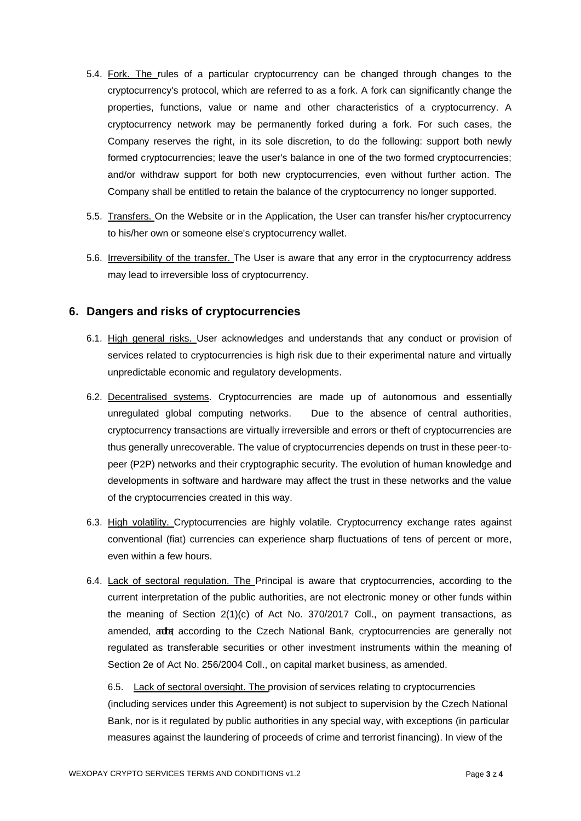- 5.4. Fork. The rules of a particular cryptocurrency can be changed through changes to the cryptocurrency's protocol, which are referred to as a fork. A fork can significantly change the properties, functions, value or name and other characteristics of a cryptocurrency. A cryptocurrency network may be permanently forked during a fork. For such cases, the Company reserves the right, in its sole discretion, to do the following: support both newly formed cryptocurrencies; leave the user's balance in one of the two formed cryptocurrencies; and/or withdraw support for both new cryptocurrencies, even without further action. The Company shall be entitled to retain the balance of the cryptocurrency no longer supported.
- 5.5. Transfers. On the Website or in the Application, the User can transfer his/her cryptocurrency to his/her own or someone else's cryptocurrency wallet.
- 5.6. **Irreversibility of the transfer.** The User is aware that any error in the cryptocurrency address may lead to irreversible loss of cryptocurrency.

### **6. Dangers and risks of cryptocurrencies**

- 6.1. High general risks. User acknowledges and understands that any conduct or provision of services related to cryptocurrencies is high risk due to their experimental nature and virtually unpredictable economic and regulatory developments.
- 6.2. Decentralised systems. Cryptocurrencies are made up of autonomous and essentially unregulated global computing networks. Due to the absence of central authorities, cryptocurrency transactions are virtually irreversible and errors or theft of cryptocurrencies are thus generally unrecoverable. The value of cryptocurrencies depends on trust in these peer-topeer (P2P) networks and their cryptographic security. The evolution of human knowledge and developments in software and hardware may affect the trust in these networks and the value of the cryptocurrencies created in this way.
- 6.3. High volatility. Cryptocurrencies are highly volatile. Cryptocurrency exchange rates against conventional (fiat) currencies can experience sharp fluctuations of tens of percent or more, even within a few hours.
- 6.4. Lack of sectoral regulation. The Principal is aware that cryptocurrencies, according to the current interpretation of the public authorities, are not electronic money or other funds within the meaning of Section 2(1)(c) of Act No. 370/2017 Coll., on payment transactions, as amended, add according to the Czech National Bank, cryptocurrencies are generally not regulated as transferable securities or other investment instruments within the meaning of Section 2e of Act No. 256/2004 Coll., on capital market business, as amended.

6.5. Lack of sectoral oversight. The provision of services relating to cryptocurrencies (including services under this Agreement) is not subject to supervision by the Czech National Bank, nor is it regulated by public authorities in any special way, with exceptions (in particular measures against the laundering of proceeds of crime and terrorist financing). In view of the